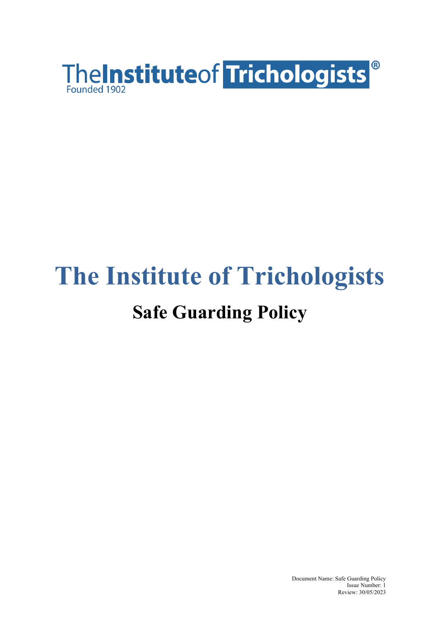

# **The Institute of Trichologists Safe Guarding Policy**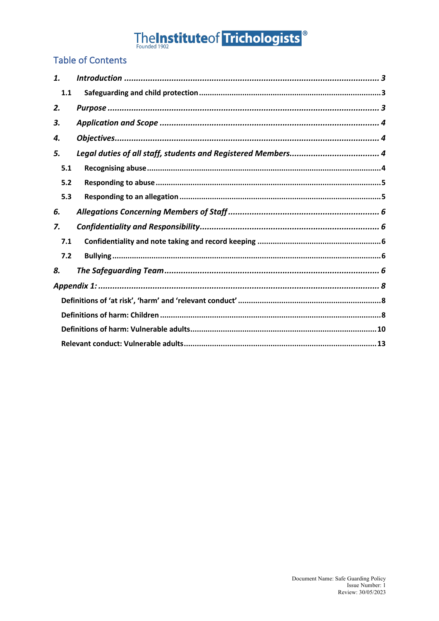# The Institute of Trichologists<sup>®</sup>

### **Table of Contents**

| 1.  |  |  |  |
|-----|--|--|--|
| 1.1 |  |  |  |
| 2.  |  |  |  |
| 3.  |  |  |  |
| 4.  |  |  |  |
| 5.  |  |  |  |
| 5.1 |  |  |  |
| 5.2 |  |  |  |
| 5.3 |  |  |  |
| 6.  |  |  |  |
| 7.  |  |  |  |
| 7.1 |  |  |  |
| 7.2 |  |  |  |
| 8.  |  |  |  |
|     |  |  |  |
|     |  |  |  |
|     |  |  |  |
|     |  |  |  |
|     |  |  |  |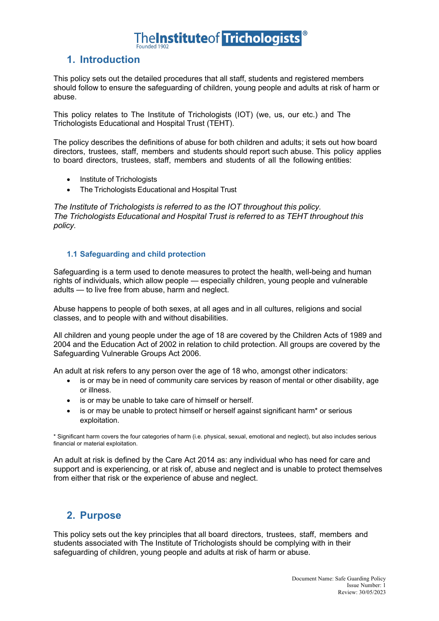### **1. Introduction**

This policy sets out the detailed procedures that all staff, students and registered members should follow to ensure the safeguarding of children, young people and adults at risk of harm or abuse.

This policy relates to The Institute of Trichologists (IOT) (we, us, our etc.) and The Trichologists Educational and Hospital Trust (TEHT).

The policy describes the definitions of abuse for both children and adults; it sets out how board directors, trustees, staff, members and students should report such abuse. This policy applies to board directors, trustees, staff, members and students of all the following entities:

- Institute of Trichologists
- The Trichologists Educational and Hospital Trust

*The Institute of Trichologists is referred to as the IOT throughout this policy. The Trichologists Educational and Hospital Trust is referred to as TEHT throughout this policy.*

#### **1.1 Safeguarding and child protection**

Safeguarding is a term used to denote measures to protect the health, well-being and human rights of individuals, which allow people — especially children, young people and vulnerable adults — to live free from abuse, harm and neglect.

Abuse happens to people of both sexes, at all ages and in all cultures, religions and social classes, and to people with and without disabilities.

All children and young people under the age of 18 are covered by the Children Acts of 1989 and 2004 and the Education Act of 2002 in relation to child protection. All groups are covered by the Safeguarding Vulnerable Groups Act 2006.

An adult at risk refers to any person over the age of 18 who, amongst other indicators:

- is or may be in need of community care services by reason of mental or other disability, age or illness.
- is or may be unable to take care of himself or herself.
- is or may be unable to protect himself or herself against significant harm\* or serious exploitation.

\* Significant harm covers the four categories of harm (i.e. physical, sexual, emotional and neglect), but also includes serious financial or material exploitation.

An adult at risk is defined by the Care Act 2014 as: any individual who has need for care and support and is experiencing, or at risk of, abuse and neglect and is unable to protect themselves from either that risk or the experience of abuse and neglect.

### **2. Purpose**

This policy sets out the key principles that all board directors, trustees, staff, members and students associated with The Institute of Trichologists should be complying with in their safeguarding of children, young people and adults at risk of harm or abuse.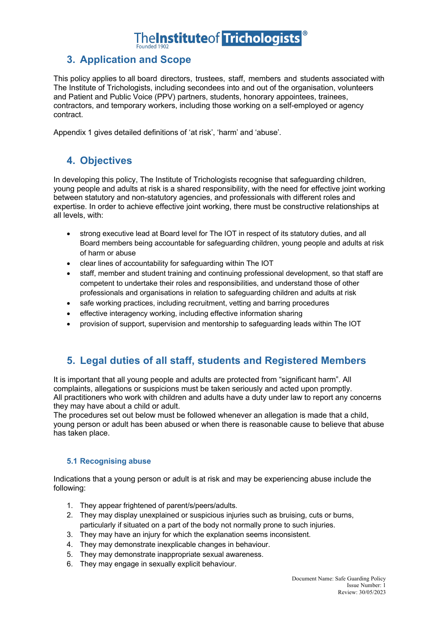## **nelnstitute of Trichologists**

## **3. Application and Scope**

This policy applies to all board directors, trustees, staff, members and students associated with The Institute of Trichologists, including secondees into and out of the organisation, volunteers and Patient and Public Voice (PPV) partners, students, honorary appointees, trainees, contractors, and temporary workers, including those working on a self-employed or agency contract.

Appendix 1 gives detailed definitions of 'at risk', 'harm' and 'abuse'.

### **4. Objectives**

In developing this policy, The Institute of Trichologists recognise that safeguarding children, young people and adults at risk is a shared responsibility, with the need for effective joint working between statutory and non-statutory agencies, and professionals with different roles and expertise. In order to achieve effective joint working, there must be constructive relationships at all levels, with:

- strong executive lead at Board level for The IOT in respect of its statutory duties, and all Board members being accountable for safeguarding children, young people and adults at risk of harm or abuse
- clear lines of accountability for safeguarding within The IOT
- staff, member and student training and continuing professional development, so that staff are competent to undertake their roles and responsibilities, and understand those of other professionals and organisations in relation to safeguarding children and adults at risk
- safe working practices, including recruitment, vetting and barring procedures
- effective interagency working, including effective information sharing
- provision of support, supervision and mentorship to safeguarding leads within The IOT

### **5. Legal duties of all staff, students and Registered Members**

It is important that all young people and adults are protected from "significant harm". All complaints, allegations or suspicions must be taken seriously and acted upon promptly. All practitioners who work with children and adults have a duty under law to report any concerns they may have about a child or adult.

The procedures set out below must be followed whenever an allegation is made that a child, young person or adult has been abused or when there is reasonable cause to believe that abuse has taken place.

#### **5.1 Recognising abuse**

Indications that a young person or adult is at risk and may be experiencing abuse include the following:

- 1. They appear frightened of parent/s/peers/adults.
- 2. They may display unexplained or suspicious injuries such as bruising, cuts or burns, particularly if situated on a part of the body not normally prone to such injuries.
- 3. They may have an injury for which the explanation seems inconsistent.
- 4. They may demonstrate inexplicable changes in behaviour.
- 5. They may demonstrate inappropriate sexual awareness.
- 6. They may engage in sexually explicit behaviour.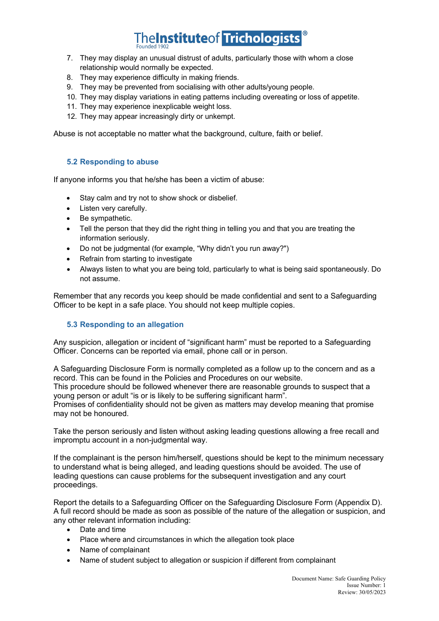- 7. They may display an unusual distrust of adults, particularly those with whom a close relationship would normally be expected.
- 8. They may experience difficulty in making friends.
- 9. They may be prevented from socialising with other adults/young people.
- 10. They may display variations in eating patterns including overeating or loss of appetite.
- 11. They may experience inexplicable weight loss.
- 12. They may appear increasingly dirty or unkempt.

Abuse is not acceptable no matter what the background, culture, faith or belief.

#### **5.2 Responding to abuse**

If anyone informs you that he/she has been a victim of abuse:

- Stay calm and try not to show shock or disbelief.
- Listen very carefully.
- Be sympathetic.
- Tell the person that they did the right thing in telling you and that you are treating the information seriously.
- Do not be judgmental (for example, "Why didn't you run away?")
- Refrain from starting to investigate
- Always listen to what you are being told, particularly to what is being said spontaneously. Do not assume.

Remember that any records you keep should be made confidential and sent to a Safeguarding Officer to be kept in a safe place. You should not keep multiple copies.

#### **5.3 Responding to an allegation**

Any suspicion, allegation or incident of "significant harm" must be reported to a Safeguarding Officer. Concerns can be reported via email, phone call or in person.

A Safeguarding Disclosure Form is normally completed as a follow up to the concern and as a record. This can be found in the Policies and Procedures on our website.

This procedure should be followed whenever there are reasonable grounds to suspect that a young person or adult "is or is likely to be suffering significant harm".

Promises of confidentiality should not be given as matters may develop meaning that promise may not be honoured.

Take the person seriously and listen without asking leading questions allowing a free recall and impromptu account in a non-judgmental way.

If the complainant is the person him/herself, questions should be kept to the minimum necessary to understand what is being alleged, and leading questions should be avoided. The use of leading questions can cause problems for the subsequent investigation and any court proceedings.

Report the details to a Safeguarding Officer on the Safeguarding Disclosure Form (Appendix D). A full record should be made as soon as possible of the nature of the allegation or suspicion, and any other relevant information including:

- Date and time
- Place where and circumstances in which the allegation took place
- Name of complainant
- Name of student subject to allegation or suspicion if different from complainant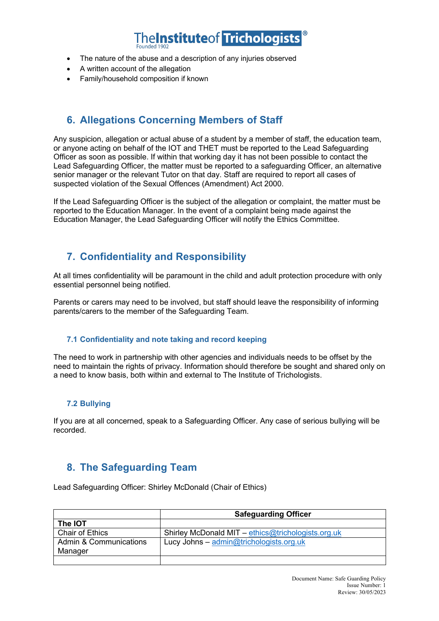- The nature of the abuse and a description of any injuries observed
- A written account of the allegation
- Family/household composition if known

### **6. Allegations Concerning Members of Staff**

Any suspicion, allegation or actual abuse of a student by a member of staff, the education team, or anyone acting on behalf of the IOT and THET must be reported to the Lead Safeguarding Officer as soon as possible. If within that working day it has not been possible to contact the Lead Safeguarding Officer, the matter must be reported to a safeguarding Officer, an alternative senior manager or the relevant Tutor on that day. Staff are required to report all cases of suspected violation of the Sexual Offences (Amendment) Act 2000.

If the Lead Safeguarding Officer is the subject of the allegation or complaint, the matter must be reported to the Education Manager. In the event of a complaint being made against the Education Manager, the Lead Safeguarding Officer will notify the Ethics Committee.

### **7. Confidentiality and Responsibility**

At all times confidentiality will be paramount in the child and adult protection procedure with only essential personnel being notified.

Parents or carers may need to be involved, but staff should leave the responsibility of informing parents/carers to the member of the Safeguarding Team.

#### **7.1 Confidentiality and note taking and record keeping**

The need to work in partnership with other agencies and individuals needs to be offset by the need to maintain the rights of privacy. Information should therefore be sought and shared only on a need to know basis, both within and external to The Institute of Trichologists.

#### **7.2 Bullying**

If you are at all concerned, speak to a Safeguarding Officer. Any case of serious bullying will be recorded.

### **8. The Safeguarding Team**

Lead Safeguarding Officer: Shirley McDonald (Chair of Ethics)

|                                   | <b>Safeguarding Officer</b>                        |
|-----------------------------------|----------------------------------------------------|
| The IOT                           |                                                    |
| <b>Chair of Ethics</b>            | Shirley McDonald MIT - ethics@trichologists.org.uk |
| <b>Admin &amp; Communications</b> | Lucy Johns - admin@trichologists.org.uk            |
| Manager                           |                                                    |
|                                   |                                                    |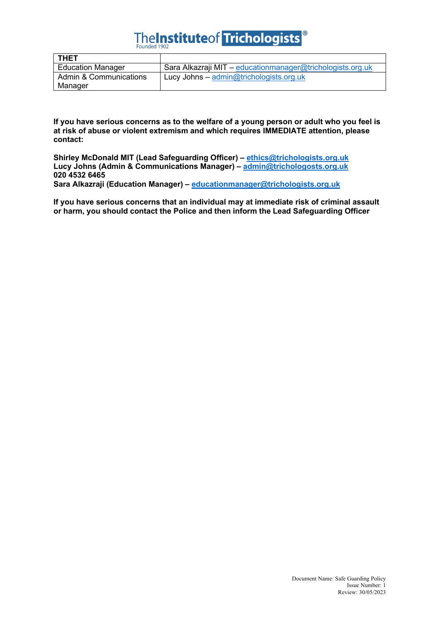# TheInstituteof Trichologists<sup>®</sup>

| <b>THET</b>              |                                                            |
|--------------------------|------------------------------------------------------------|
| <b>Education Manager</b> | Sara Alkazraji MIT - educationmanager@trichologists.org.uk |
| Admin & Communications   | Lucy Johns - admin@trichologists.org.uk                    |
| Manager                  |                                                            |

**If you have serious concerns as to the welfare of a young person or adult who you feel is at risk of abuse or violent extremism and which requires IMMEDIATE attention, please contact:**

**Shirley McDonald MIT (Lead Safeguarding Officer) – ethics@trichologists.org.uk Lucy Johns (Admin & Communications Manager) – admin@trichologosts.org.uk 020 4532 6465 Sara Alkazraji (Education Manager) – educationmanager@trichologists.org.uk**

**If you have serious concerns that an individual may at immediate risk of criminal assault or harm, you should contact the Police and then inform the Lead Safeguarding Officer**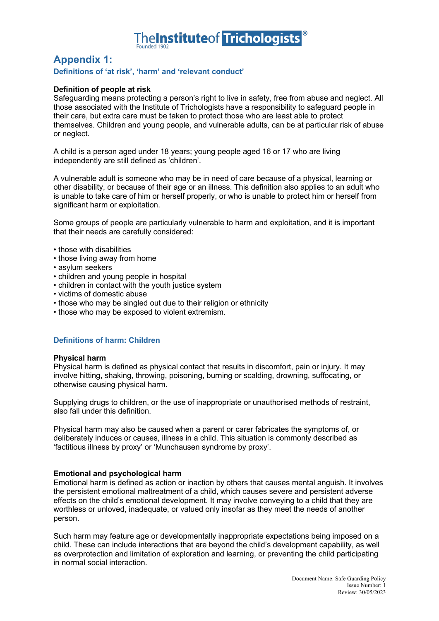

### **Appendix 1:**

#### **Definitions of 'at risk', 'harm' and 'relevant conduct'**

#### **Definition of people at risk**

Safeguarding means protecting a person's right to live in safety, free from abuse and neglect. All those associated with the Institute of Trichologists have a responsibility to safeguard people in their care, but extra care must be taken to protect those who are least able to protect themselves. Children and young people, and vulnerable adults, can be at particular risk of abuse or neglect.

A child is a person aged under 18 years; young people aged 16 or 17 who are living independently are still defined as 'children'.

A vulnerable adult is someone who may be in need of care because of a physical, learning or other disability, or because of their age or an illness. This definition also applies to an adult who is unable to take care of him or herself properly, or who is unable to protect him or herself from significant harm or exploitation.

Some groups of people are particularly vulnerable to harm and exploitation, and it is important that their needs are carefully considered:

- those with disabilities
- those living away from home
- asylum seekers
- children and young people in hospital
- children in contact with the youth justice system
- victims of domestic abuse
- those who may be singled out due to their religion or ethnicity
- those who may be exposed to violent extremism.

#### **Definitions of harm: Children**

#### **Physical harm**

Physical harm is defined as physical contact that results in discomfort, pain or injury. It may involve hitting, shaking, throwing, poisoning, burning or scalding, drowning, suffocating, or otherwise causing physical harm.

Supplying drugs to children, or the use of inappropriate or unauthorised methods of restraint, also fall under this definition.

Physical harm may also be caused when a parent or carer fabricates the symptoms of, or deliberately induces or causes, illness in a child. This situation is commonly described as 'factitious illness by proxy' or 'Munchausen syndrome by proxy'.

#### **Emotional and psychological harm**

Emotional harm is defined as action or inaction by others that causes mental anguish. It involves the persistent emotional maltreatment of a child, which causes severe and persistent adverse effects on the child's emotional development. It may involve conveying to a child that they are worthless or unloved, inadequate, or valued only insofar as they meet the needs of another person.

Such harm may feature age or developmentally inappropriate expectations being imposed on a child. These can include interactions that are beyond the child's development capability, as well as overprotection and limitation of exploration and learning, or preventing the child participating in normal social interaction.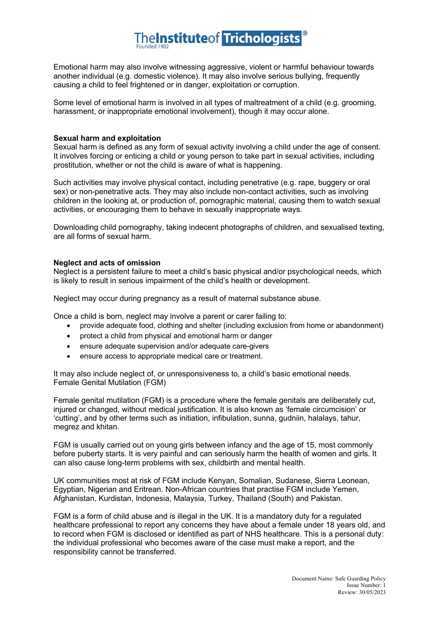Emotional harm may also involve witnessing aggressive, violent or harmful behaviour towards another individual (e.g. domestic violence). It may also involve serious bullying, frequently causing a child to feel frightened or in danger, exploitation or corruption.

Some level of emotional harm is involved in all types of maltreatment of a child (e.g. grooming, harassment, or inappropriate emotional involvement), though it may occur alone.

#### **Sexual harm and exploitation**

Sexual harm is defined as any form of sexual activity involving a child under the age of consent. It involves forcing or enticing a child or young person to take part in sexual activities, including prostitution, whether or not the child is aware of what is happening.

Such activities may involve physical contact, including penetrative (e.g. rape, buggery or oral sex) or non-penetrative acts. They may also include non-contact activities, such as involving children in the looking at, or production of, pornographic material, causing them to watch sexual activities, or encouraging them to behave in sexually inappropriate ways.

Downloading child pornography, taking indecent photographs of children, and sexualised texting, are all forms of sexual harm.

#### **Neglect and acts of omission**

Neglect is a persistent failure to meet a child's basic physical and/or psychological needs, which is likely to result in serious impairment of the child's health or development.

Neglect may occur during pregnancy as a result of maternal substance abuse.

Once a child is born, neglect may involve a parent or carer failing to:

- provide adequate food, clothing and shelter (including exclusion from home or abandonment)
- protect a child from physical and emotional harm or danger
- ensure adequate supervision and/or adequate care-givers
- ensure access to appropriate medical care or treatment.

It may also include neglect of, or unresponsiveness to, a child's basic emotional needs. Female Genital Mutilation (FGM)

Female genital mutilation (FGM) is a procedure where the female genitals are deliberately cut, injured or changed, without medical justification. It is also known as 'female circumcision' or 'cutting', and by other terms such as initiation, infibulation, sunna, gudniin, halalays, tahur, megrez and khitan.

FGM is usually carried out on young girls between infancy and the age of 15, most commonly before puberty starts. It is very painful and can seriously harm the health of women and girls. It can also cause long-term problems with sex, childbirth and mental health.

UK communities most at risk of FGM include Kenyan, Somalian, Sudanese, Sierra Leonean, Egyptian, Nigerian and Eritrean. Non-African countries that practise FGM include Yemen, Afghanistan, Kurdistan, Indonesia, Malaysia, Turkey, Thailand (South) and Pakistan.

FGM is a form of child abuse and is illegal in the UK. It is a mandatory duty for a regulated healthcare professional to report any concerns they have about a female under 18 years old, and to record when FGM is disclosed or identified as part of NHS healthcare. This is a personal duty: the individual professional who becomes aware of the case must make a report, and the responsibility cannot be transferred.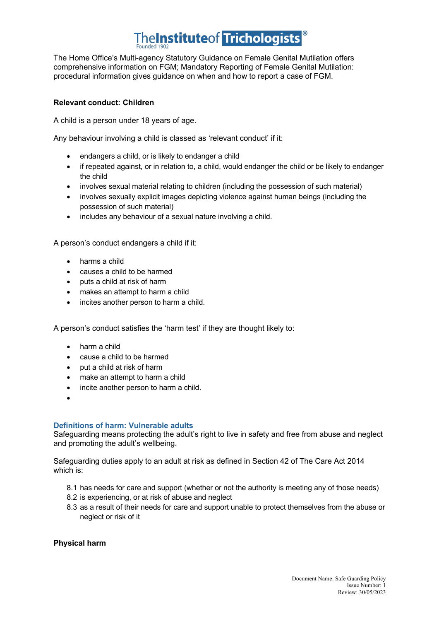The Home Office's Multi-agency Statutory Guidance on Female Genital Mutilation offers comprehensive information on FGM; Mandatory Reporting of Female Genital Mutilation: procedural information gives guidance on when and how to report a case of FGM.

#### **Relevant conduct: Children**

A child is a person under 18 years of age.

Any behaviour involving a child is classed as 'relevant conduct' if it:

- endangers a child, or is likely to endanger a child
- if repeated against, or in relation to, a child, would endanger the child or be likely to endanger the child
- involves sexual material relating to children (including the possession of such material)
- involves sexually explicit images depicting violence against human beings (including the possession of such material)
- includes any behaviour of a sexual nature involving a child.

A person's conduct endangers a child if it:

- harms a child
- causes a child to be harmed
- puts a child at risk of harm
- makes an attempt to harm a child
- incites another person to harm a child.

A person's conduct satisfies the 'harm test' if they are thought likely to:

- harm a child
- cause a child to be harmed
- put a child at risk of harm
- make an attempt to harm a child
- incite another person to harm a child.
- •

#### **Definitions of harm: Vulnerable adults**

Safeguarding means protecting the adult's right to live in safety and free from abuse and neglect and promoting the adult's wellbeing.

Safeguarding duties apply to an adult at risk as defined in Section 42 of The Care Act 2014 which is:

- 8.1 has needs for care and support (whether or not the authority is meeting any of those needs)
- 8.2 is experiencing, or at risk of abuse and neglect
- 8.3 as a result of their needs for care and support unable to protect themselves from the abuse or neglect or risk of it

#### **Physical harm**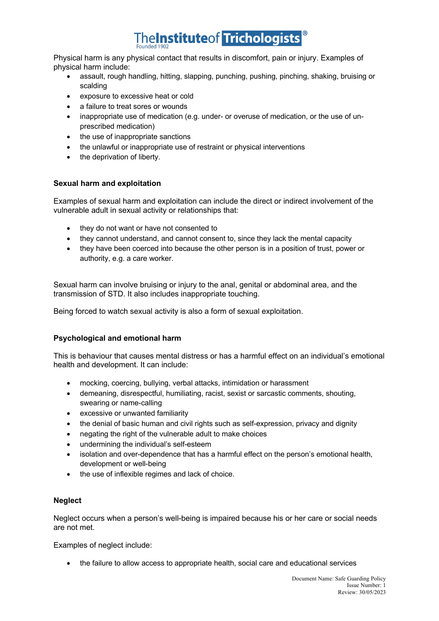Physical harm is any physical contact that results in discomfort, pain or injury. Examples of physical harm include:

- assault, rough handling, hitting, slapping, punching, pushing, pinching, shaking, bruising or scalding
- exposure to excessive heat or cold
- a failure to treat sores or wounds
- inappropriate use of medication (e.g. under- or overuse of medication, or the use of unprescribed medication)
- the use of inappropriate sanctions
- the unlawful or inappropriate use of restraint or physical interventions
- the deprivation of liberty.

#### **Sexual harm and exploitation**

Examples of sexual harm and exploitation can include the direct or indirect involvement of the vulnerable adult in sexual activity or relationships that:

- they do not want or have not consented to
- they cannot understand, and cannot consent to, since they lack the mental capacity
- they have been coerced into because the other person is in a position of trust, power or authority, e.g. a care worker.

Sexual harm can involve bruising or injury to the anal, genital or abdominal area, and the transmission of STD. It also includes inappropriate touching.

Being forced to watch sexual activity is also a form of sexual exploitation.

#### **Psychological and emotional harm**

This is behaviour that causes mental distress or has a harmful effect on an individual's emotional health and development. It can include:

- mocking, coercing, bullying, verbal attacks, intimidation or harassment
- demeaning, disrespectful, humiliating, racist, sexist or sarcastic comments, shouting, swearing or name-calling
- excessive or unwanted familiarity
- the denial of basic human and civil rights such as self-expression, privacy and dignity
- negating the right of the vulnerable adult to make choices
- undermining the individual's self-esteem
- isolation and over-dependence that has a harmful effect on the person's emotional health, development or well-being
- the use of inflexible regimes and lack of choice.

#### **Neglect**

Neglect occurs when a person's well-being is impaired because his or her care or social needs are not met.

Examples of neglect include:

• the failure to allow access to appropriate health, social care and educational services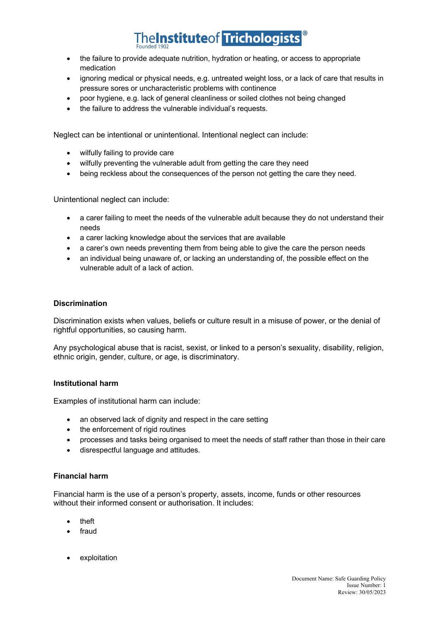- the failure to provide adequate nutrition, hydration or heating, or access to appropriate medication
- ignoring medical or physical needs, e.g. untreated weight loss, or a lack of care that results in pressure sores or uncharacteristic problems with continence
- poor hygiene, e.g. lack of general cleanliness or soiled clothes not being changed
- the failure to address the vulnerable individual's requests.

Neglect can be intentional or unintentional. Intentional neglect can include:

- wilfully failing to provide care
- wilfully preventing the vulnerable adult from getting the care they need
- being reckless about the consequences of the person not getting the care they need.

Unintentional neglect can include:

- a carer failing to meet the needs of the vulnerable adult because they do not understand their needs
- a carer lacking knowledge about the services that are available
- a carer's own needs preventing them from being able to give the care the person needs
- an individual being unaware of, or lacking an understanding of, the possible effect on the vulnerable adult of a lack of action.

#### **Discrimination**

Discrimination exists when values, beliefs or culture result in a misuse of power, or the denial of rightful opportunities, so causing harm.

Any psychological abuse that is racist, sexist, or linked to a person's sexuality, disability, religion, ethnic origin, gender, culture, or age, is discriminatory.

#### **Institutional harm**

Examples of institutional harm can include:

- an observed lack of dignity and respect in the care setting
- the enforcement of rigid routines
- processes and tasks being organised to meet the needs of staff rather than those in their care
- disrespectful language and attitudes.

#### **Financial harm**

Financial harm is the use of a person's property, assets, income, funds or other resources without their informed consent or authorisation. It includes:

- theft
- **fraud**
- **exploitation**